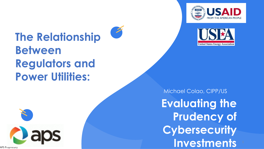



# **The Relationship Between Regulators and Power Utilities:**

Michael Colao, CIPP/US **Evaluating the Prudency of Cybersecurity Investments** 





APS Proprietary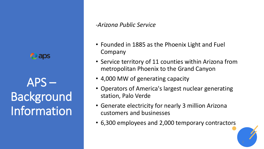

APS – Background Information

### *-Arizona Public Service*

- Founded in 1885 as the Phoenix Light and Fuel Company
- Service territory of 11 counties within Arizona from metropolitan Phoenix to the Grand Canyon
- 4,000 MW of generating capacity
- Operators of America's largest nuclear generating station, Palo Verde
- Generate electricity for nearly 3 million Arizona customers and businesses
- 6,300 employees and 2,000 temporary contractors

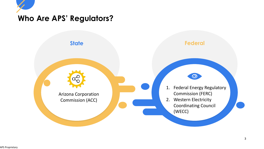

### **Who Are APS' Regulators?**

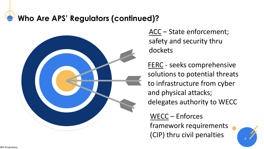## **Who Are APS' Regulators (continued)?**



ACC – State enforcement; safety and security thru dockets

FERC - seeks comprehensive solutions to potential threats to infrastructure from cyber and physical attacks; delegates authority to WECC

WECC – Enforces framework requirements (CIP) thru civil penalties

4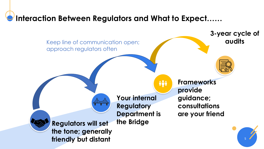## **Interaction Between Regulators and What to Expect……**

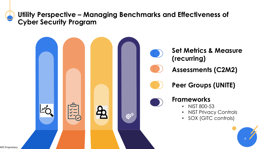### **Utility Perspective – Managing Benchmarks and Effectiveness of Cyber Security Program**

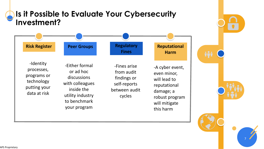## **Is it Possible to Evaluate Your Cybersecurity Investment?**



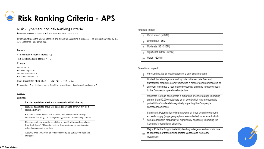## **Risk Ranking Criteria - APS**

### Risk - Cybersecurity Risk Ranking Criteria

▲ Authored by RESSA, ALEX/Z11102 • 曲 7mo ago • ● 6 Views • 食食食食食

Cybersecurity uses the following formula and criteria for calculating a risk score. The criteria is provided by the APS Enterprise Risk Committee.

#### Formula:

 $\sqrt{2}$  ((Likelihood x Highest Impact) / 2]

This results in a score between  $1 - 5$ .

Example:

Likelihood: 3 Financial Impact: 6 Operational Impact: 8 Reputational Impact: 4

Score Calculation:  $\sqrt{(3 \times 8)/2} \rightarrow \sqrt{24/2} \rightarrow \sqrt{12} \rightarrow 3.5$ 

Explanation - The Likelihood was a 3 and the highest impact listed was Operational at 8.

#### Criteria:

Likelihood

|   | Requires specialized attack and knowledge by skilled adversary.                                                                                                                       |
|---|---------------------------------------------------------------------------------------------------------------------------------------------------------------------------------------|
| 2 | Requires specialized attack OR detailed knowledge of APS/PNW by a<br>skilled adversary.                                                                                               |
| 3 | Requires a moderately skilled attacker OR can be realized through<br>inadvertent acts (e.g., social engineering) without compensating controls.                                       |
| 4 | Requires relatively low attacker skill (e.g., modify attack code available<br>from the Internet) OR can be realized through simple misconfiguration<br>without compensating controls. |
| 5 | Attack is trivial to execute or condition is currently pervasive across the<br>company.                                                                                               |

#### Financial Impact

|    | Very Limited (< \$2M)       |
|----|-----------------------------|
|    | Limited (\$2 - \$5M)        |
| 6  | Moderate (\$5 - \$15M)      |
| 8  | Significant (\$15M - \$25M) |
| 10 | Major (>\$25M)              |

### Operational Impact

| 2  | Very Limited, No or local outages of a very small duration                                                                                                                                                                                                   |
|----|--------------------------------------------------------------------------------------------------------------------------------------------------------------------------------------------------------------------------------------------------------------|
| 4  | Limited, Local outages caused by pole collapse, pole fires and<br>transformer problems usually impacting a smaller geographical area or<br>an event which has a reasonable probability of limited negative impact<br>to the Company's operational objective. |
| 6  | Moderate, Outage arising from a major line or circuit outage impacting<br>greater than 50,000 customers or an event which has a reasonable<br>probability of moderately negatively impacting the Company's<br>operational objective.                         |
| 8  | Significant, Potential for rolling blackouts at times when the demand<br>exceeds supply (large geographical area affected) or an event which<br>has a reasonable probability of significantly negatively impacting the<br>Company's operational objective.   |
| 10 | Major, Potential for grid instability leading to large scale blackouts due<br>to generation or transmission related voltage and frequency<br>instabilities.                                                                                                  |